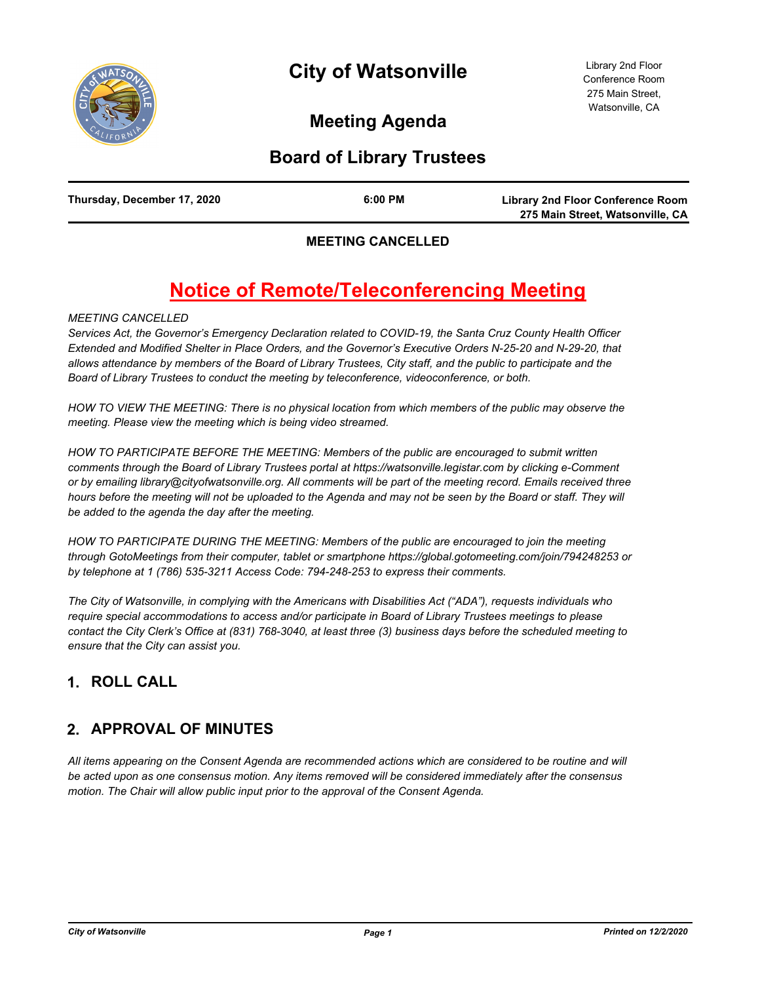

# **Meeting Agenda**

## **Board of Library Trustees**

| Thursday, December 17, 2020 | $6:00$ PM | Library 2nd Floor Conference Room |
|-----------------------------|-----------|-----------------------------------|
|                             |           | 275 Main Street, Watsonville, CA  |

#### **MEETING CANCELLED**

# **Notice of Remote/Teleconferencing Meeting**

#### *MEETING CANCELLED*

*Services Act, the Governor's Emergency Declaration related to COVID-19, the Santa Cruz County Health Officer Extended and Modified Shelter in Place Orders, and the Governor's Executive Orders N-25-20 and N-29-20, that allows attendance by members of the Board of Library Trustees, City staff, and the public to participate and the Board of Library Trustees to conduct the meeting by teleconference, videoconference, or both.*

*HOW TO VIEW THE MEETING: There is no physical location from which members of the public may observe the meeting. Please view the meeting which is being video streamed.*

*HOW TO PARTICIPATE BEFORE THE MEETING: Members of the public are encouraged to submit written comments through the Board of Library Trustees portal at https://watsonville.legistar.com by clicking e-Comment or by emailing library@cityofwatsonville.org. All comments will be part of the meeting record. Emails received three*  hours before the meeting will not be uploaded to the Agenda and may not be seen by the Board or staff. They will *be added to the agenda the day after the meeting.*

*HOW TO PARTICIPATE DURING THE MEETING: Members of the public are encouraged to join the meeting through GotoMeetings from their computer, tablet or smartphone https://global.gotomeeting.com/join/794248253 or by telephone at 1 (786) 535-3211 Access Code: 794-248-253 to express their comments.*

*The City of Watsonville, in complying with the Americans with Disabilities Act ("ADA"), requests individuals who require special accommodations to access and/or participate in Board of Library Trustees meetings to please contact the City Clerk's Office at (831) 768-3040, at least three (3) business days before the scheduled meeting to ensure that the City can assist you.*

#### **1. ROLL CALL**

### **2. APPROVAL OF MINUTES**

*All items appearing on the Consent Agenda are recommended actions which are considered to be routine and will be acted upon as one consensus motion. Any items removed will be considered immediately after the consensus motion. The Chair will allow public input prior to the approval of the Consent Agenda.*